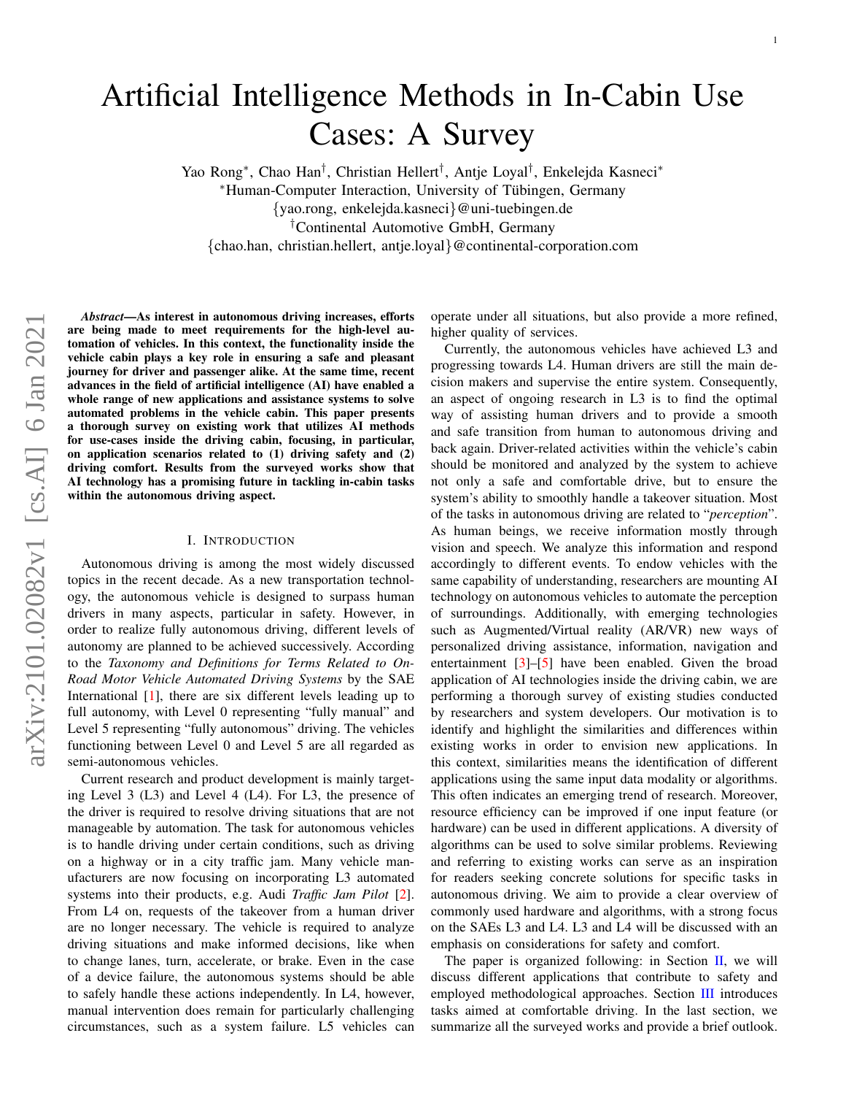# Artificial Intelligence Methods in In-Cabin Use Cases: A Survey

Yao Rong\*, Chao Han<sup>†</sup>, Christian Hellert<sup>†</sup>, Antje Loyal<sup>†</sup>, Enkelejda Kasneci\* <sup>∗</sup>Human-Computer Interaction, University of Tubingen, Germany ¨

{yao.rong, enkelejda.kasneci}@uni-tuebingen.de

†Continental Automotive GmbH, Germany

{chao.han, christian.hellert, antje.loyal}@continental-corporation.com

*Abstract*—As interest in autonomous driving increases, efforts are being made to meet requirements for the high-level automation of vehicles. In this context, the functionality inside the vehicle cabin plays a key role in ensuring a safe and pleasant journey for driver and passenger alike. At the same time, recent advances in the field of artificial intelligence (AI) have enabled a whole range of new applications and assistance systems to solve automated problems in the vehicle cabin. This paper presents a thorough survey on existing work that utilizes AI methods for use-cases inside the driving cabin, focusing, in particular, on application scenarios related to (1) driving safety and (2) driving comfort. Results from the surveyed works show that AI technology has a promising future in tackling in-cabin tasks within the autonomous driving aspect.

## I. INTRODUCTION

Autonomous driving is among the most widely discussed topics in the recent decade. As a new transportation technology, the autonomous vehicle is designed to surpass human drivers in many aspects, particular in safety. However, in order to realize fully autonomous driving, different levels of autonomy are planned to be achieved successively. According to the *Taxonomy and Definitions for Terms Related to On-Road Motor Vehicle Automated Driving Systems* by the SAE International [\[1\]](#page-7-0), there are six different levels leading up to full autonomy, with Level 0 representing "fully manual" and Level 5 representing "fully autonomous" driving. The vehicles functioning between Level 0 and Level 5 are all regarded as semi-autonomous vehicles.

Current research and product development is mainly targeting Level 3 (L3) and Level 4 (L4). For L3, the presence of the driver is required to resolve driving situations that are not manageable by automation. The task for autonomous vehicles is to handle driving under certain conditions, such as driving on a highway or in a city traffic jam. Many vehicle manufacturers are now focusing on incorporating L3 automated systems into their products, e.g. Audi *Traffic Jam Pilot* [\[2\]](#page-7-1). From L4 on, requests of the takeover from a human driver are no longer necessary. The vehicle is required to analyze driving situations and make informed decisions, like when to change lanes, turn, accelerate, or brake. Even in the case of a device failure, the autonomous systems should be able to safely handle these actions independently. In L4, however, manual intervention does remain for particularly challenging circumstances, such as a system failure. L5 vehicles can operate under all situations, but also provide a more refined, higher quality of services.

Currently, the autonomous vehicles have achieved L3 and progressing towards L4. Human drivers are still the main decision makers and supervise the entire system. Consequently, an aspect of ongoing research in L3 is to find the optimal way of assisting human drivers and to provide a smooth and safe transition from human to autonomous driving and back again. Driver-related activities within the vehicle's cabin should be monitored and analyzed by the system to achieve not only a safe and comfortable drive, but to ensure the system's ability to smoothly handle a takeover situation. Most of the tasks in autonomous driving are related to "*perception*". As human beings, we receive information mostly through vision and speech. We analyze this information and respond accordingly to different events. To endow vehicles with the same capability of understanding, researchers are mounting AI technology on autonomous vehicles to automate the perception of surroundings. Additionally, with emerging technologies such as Augmented/Virtual reality (AR/VR) new ways of personalized driving assistance, information, navigation and entertainment [\[3\]](#page-7-2)–[\[5\]](#page-7-3) have been enabled. Given the broad application of AI technologies inside the driving cabin, we are performing a thorough survey of existing studies conducted by researchers and system developers. Our motivation is to identify and highlight the similarities and differences within existing works in order to envision new applications. In this context, similarities means the identification of different applications using the same input data modality or algorithms. This often indicates an emerging trend of research. Moreover, resource efficiency can be improved if one input feature (or hardware) can be used in different applications. A diversity of algorithms can be used to solve similar problems. Reviewing and referring to existing works can serve as an inspiration for readers seeking concrete solutions for specific tasks in autonomous driving. We aim to provide a clear overview of commonly used hardware and algorithms, with a strong focus on the SAEs L3 and L4. L3 and L4 will be discussed with an emphasis on considerations for safety and comfort.

The paper is organized following: in Section [II,](#page-1-0) we will discuss different applications that contribute to safety and employed methodological approaches. Section [III](#page-4-0) introduces tasks aimed at comfortable driving. In the last section, we summarize all the surveyed works and provide a brief outlook.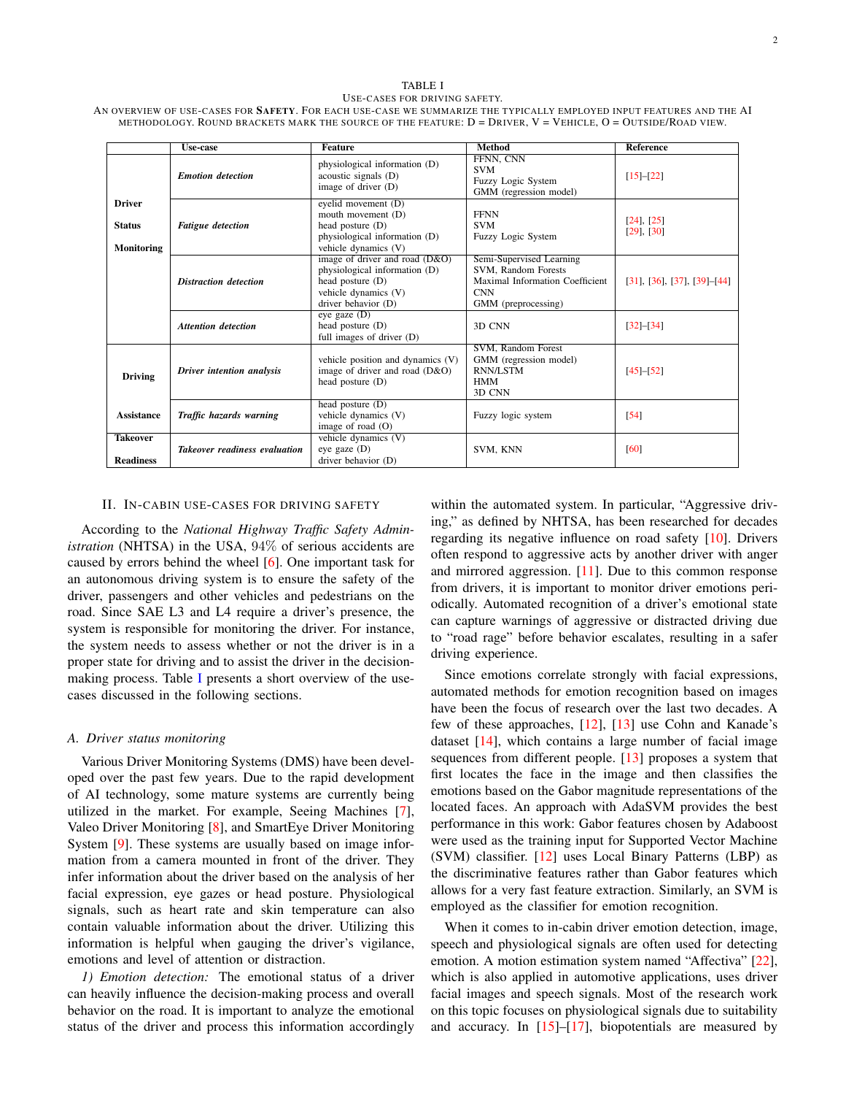## TABLE I USE-CASES FOR DRIVING SAFETY.

<span id="page-1-1"></span>AN OVERVIEW OF USE-CASES FOR SAFETY. FOR EACH USE-CASE WE SUMMARIZE THE TYPICALLY EMPLOYED INPUT FEATURES AND THE AI METHODOLOGY. ROUND BRACKETS MARK THE SOURCE OF THE FEATURE: D = DRIVER, V = VEHICLE, O = OUTSIDE/ROAD VIEW.

|                                              | Use-case                             | <b>Feature</b>                                                                                                                       | <b>Method</b>                                                                                                           | <b>Reference</b>                           |
|----------------------------------------------|--------------------------------------|--------------------------------------------------------------------------------------------------------------------------------------|-------------------------------------------------------------------------------------------------------------------------|--------------------------------------------|
|                                              | <b>Emotion</b> detection             | physiological information (D)<br>acoustic signals (D)<br>image of driver (D)                                                         | FFNN, CNN<br><b>SVM</b><br>Fuzzy Logic System<br>GMM (regression model)                                                 | $[15]-[22]$                                |
| <b>Driver</b><br><b>Status</b><br>Monitoring | <b>Fatigue</b> detection             | eyelid movement (D)<br>mouth movement (D)<br>head posture (D)<br>physiological information (D)<br>vehicle dynamics (V)               | <b>FFNN</b><br><b>SVM</b><br>Fuzzy Logic System                                                                         | [24], [25]<br>$[29]$ , $[30]$              |
|                                              | Distraction detection                | image of driver and road $(D&O)$<br>physiological information (D)<br>head posture (D)<br>vehicle dynamics (V)<br>driver behavior (D) | Semi-Supervised Learning<br>SVM, Random Forests<br>Maximal Information Coefficient<br><b>CNN</b><br>GMM (preprocessing) | $[31]$ , $[36]$ , $[37]$ , $[39]$ – $[44]$ |
|                                              | <b>Attention detection</b>           | $eye$ gaze $(D)$<br>head posture $(D)$<br>full images of driver (D)                                                                  | 3D CNN                                                                                                                  | $[32] - [34]$                              |
| <b>Driving</b>                               | Driver intention analysis            | vehicle position and dynamics (V)<br>image of driver and road $(D&O)$<br>head posture $(D)$                                          | SVM, Random Forest<br>GMM (regression model)<br><b>RNN/LSTM</b><br><b>HMM</b><br>3D CNN                                 | $[45]-[52]$                                |
| <b>Assistance</b>                            | Traffic hazards warning              | head posture $(D)$<br>vehicle dynamics (V)<br>image of road $(O)$                                                                    | Fuzzy logic system                                                                                                      | [54]                                       |
| <b>Takeover</b><br><b>Readiness</b>          | <b>Takeover readiness evaluation</b> | vehicle dynamics (V)<br>eye gaze $(D)$<br>driver behavior (D)                                                                        | SVM, KNN                                                                                                                | [60]                                       |

### II. IN-CABIN USE-CASES FOR DRIVING SAFETY

<span id="page-1-0"></span>According to the *National Highway Traffic Safety Administration* (NHTSA) in the USA, 94% of serious accidents are caused by errors behind the wheel [\[6\]](#page-7-17). One important task for an autonomous driving system is to ensure the safety of the driver, passengers and other vehicles and pedestrians on the road. Since SAE L3 and L4 require a driver's presence, the system is responsible for monitoring the driver. For instance, the system needs to assess whether or not the driver is in a proper state for driving and to assist the driver in the decisionmaking process. Table [I](#page-1-1) presents a short overview of the usecases discussed in the following sections.

## <span id="page-1-2"></span>*A. Driver status monitoring*

Various Driver Monitoring Systems (DMS) have been developed over the past few years. Due to the rapid development of AI technology, some mature systems are currently being utilized in the market. For example, Seeing Machines [\[7\]](#page-7-18), Valeo Driver Monitoring [\[8\]](#page-7-19), and SmartEye Driver Monitoring System [\[9\]](#page-7-20). These systems are usually based on image information from a camera mounted in front of the driver. They infer information about the driver based on the analysis of her facial expression, eye gazes or head posture. Physiological signals, such as heart rate and skin temperature can also contain valuable information about the driver. Utilizing this information is helpful when gauging the driver's vigilance, emotions and level of attention or distraction.

*1) Emotion detection:* The emotional status of a driver can heavily influence the decision-making process and overall behavior on the road. It is important to analyze the emotional status of the driver and process this information accordingly

within the automated system. In particular, "Aggressive driving," as defined by NHTSA, has been researched for decades regarding its negative influence on road safety [\[10\]](#page-7-21). Drivers often respond to aggressive acts by another driver with anger and mirrored aggression. [\[11\]](#page-7-22). Due to this common response from drivers, it is important to monitor driver emotions periodically. Automated recognition of a driver's emotional state can capture warnings of aggressive or distracted driving due to "road rage" before behavior escalates, resulting in a safer driving experience.

Since emotions correlate strongly with facial expressions, automated methods for emotion recognition based on images have been the focus of research over the last two decades. A few of these approaches, [\[12\]](#page-7-23), [\[13\]](#page-7-24) use Cohn and Kanade's dataset [\[14\]](#page-7-25), which contains a large number of facial image sequences from different people. [\[13\]](#page-7-24) proposes a system that first locates the face in the image and then classifies the emotions based on the Gabor magnitude representations of the located faces. An approach with AdaSVM provides the best performance in this work: Gabor features chosen by Adaboost were used as the training input for Supported Vector Machine (SVM) classifier. [\[12\]](#page-7-23) uses Local Binary Patterns (LBP) as the discriminative features rather than Gabor features which allows for a very fast feature extraction. Similarly, an SVM is employed as the classifier for emotion recognition.

When it comes to in-cabin driver emotion detection, image, speech and physiological signals are often used for detecting emotion. A motion estimation system named "Affectiva" [\[22\]](#page-7-5), which is also applied in automotive applications, uses driver facial images and speech signals. Most of the research work on this topic focuses on physiological signals due to suitability and accuracy. In  $[15]$ – $[17]$ , biopotentials are measured by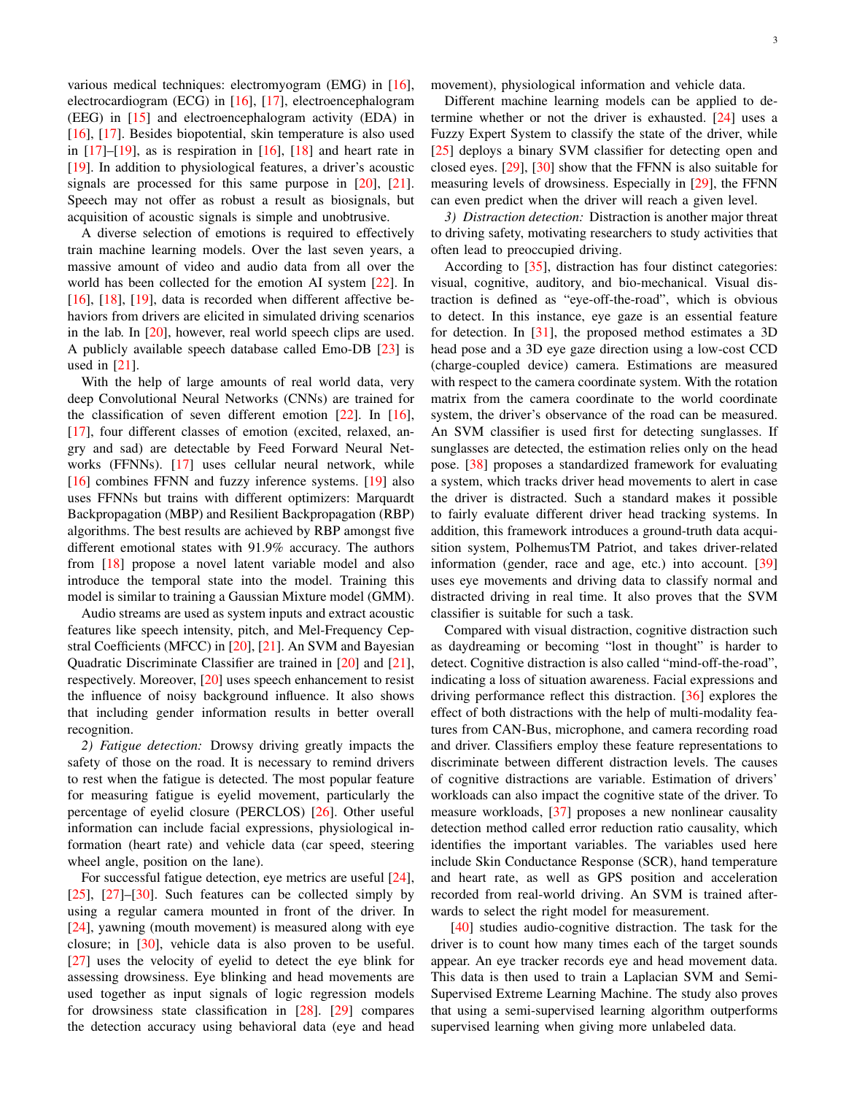various medical techniques: electromyogram (EMG) in [\[16\]](#page-7-27), electrocardiogram (ECG) in [\[16\]](#page-7-27), [\[17\]](#page-7-26), electroencephalogram (EEG) in [\[15\]](#page-7-4) and electroencephalogram activity (EDA) in [\[16\]](#page-7-27), [\[17\]](#page-7-26). Besides biopotential, skin temperature is also used in  $[17]-[19]$  $[17]-[19]$  $[17]-[19]$ , as is respiration in  $[16]$ ,  $[18]$  and heart rate in [\[19\]](#page-7-28). In addition to physiological features, a driver's acoustic signals are processed for this same purpose in [\[20\]](#page-7-30), [\[21\]](#page-7-31). Speech may not offer as robust a result as biosignals, but acquisition of acoustic signals is simple and unobtrusive.

A diverse selection of emotions is required to effectively train machine learning models. Over the last seven years, a massive amount of video and audio data from all over the world has been collected for the emotion AI system [\[22\]](#page-7-5). In [\[16\]](#page-7-27), [\[18\]](#page-7-29), [\[19\]](#page-7-28), data is recorded when different affective behaviors from drivers are elicited in simulated driving scenarios in the lab. In [\[20\]](#page-7-30), however, real world speech clips are used. A publicly available speech database called Emo-DB [\[23\]](#page-7-32) is used in [\[21\]](#page-7-31).

With the help of large amounts of real world data, very deep Convolutional Neural Networks (CNNs) are trained for the classification of seven different emotion  $[22]$ . In  $[16]$ , [\[17\]](#page-7-26), four different classes of emotion (excited, relaxed, angry and sad) are detectable by Feed Forward Neural Networks (FFNNs). [\[17\]](#page-7-26) uses cellular neural network, while [\[16\]](#page-7-27) combines FFNN and fuzzy inference systems. [\[19\]](#page-7-28) also uses FFNNs but trains with different optimizers: Marquardt Backpropagation (MBP) and Resilient Backpropagation (RBP) algorithms. The best results are achieved by RBP amongst five different emotional states with 91.9% accuracy. The authors from [\[18\]](#page-7-29) propose a novel latent variable model and also introduce the temporal state into the model. Training this model is similar to training a Gaussian Mixture model (GMM).

Audio streams are used as system inputs and extract acoustic features like speech intensity, pitch, and Mel-Frequency Cepstral Coefficients (MFCC) in [\[20\]](#page-7-30), [\[21\]](#page-7-31). An SVM and Bayesian Quadratic Discriminate Classifier are trained in [\[20\]](#page-7-30) and [\[21\]](#page-7-31), respectively. Moreover, [\[20\]](#page-7-30) uses speech enhancement to resist the influence of noisy background influence. It also shows that including gender information results in better overall recognition.

*2) Fatigue detection:* Drowsy driving greatly impacts the safety of those on the road. It is necessary to remind drivers to rest when the fatigue is detected. The most popular feature for measuring fatigue is eyelid movement, particularly the percentage of eyelid closure (PERCLOS) [\[26\]](#page-7-33). Other useful information can include facial expressions, physiological information (heart rate) and vehicle data (car speed, steering wheel angle, position on the lane).

For successful fatigue detection, eye metrics are useful [\[24\]](#page-7-6), [\[25\]](#page-7-7), [\[27\]](#page-7-34)–[\[30\]](#page-7-9). Such features can be collected simply by using a regular camera mounted in front of the driver. In [\[24\]](#page-7-6), yawning (mouth movement) is measured along with eye closure; in [\[30\]](#page-7-9), vehicle data is also proven to be useful. [\[27\]](#page-7-34) uses the velocity of eyelid to detect the eye blink for assessing drowsiness. Eye blinking and head movements are used together as input signals of logic regression models for drowsiness state classification in [\[28\]](#page-7-35). [\[29\]](#page-7-8) compares the detection accuracy using behavioral data (eye and head movement), physiological information and vehicle data.

Different machine learning models can be applied to determine whether or not the driver is exhausted. [\[24\]](#page-7-6) uses a Fuzzy Expert System to classify the state of the driver, while [\[25\]](#page-7-7) deploys a binary SVM classifier for detecting open and closed eyes. [\[29\]](#page-7-8), [\[30\]](#page-7-9) show that the FFNN is also suitable for measuring levels of drowsiness. Especially in [\[29\]](#page-7-8), the FFNN can even predict when the driver will reach a given level.

*3) Distraction detection:* Distraction is another major threat to driving safety, motivating researchers to study activities that often lead to preoccupied driving.

According to [\[35\]](#page-7-36), distraction has four distinct categories: visual, cognitive, auditory, and bio-mechanical. Visual distraction is defined as "eye-off-the-road", which is obvious to detect. In this instance, eye gaze is an essential feature for detection. In [\[31\]](#page-7-10), the proposed method estimates a 3D head pose and a 3D eye gaze direction using a low-cost CCD (charge-coupled device) camera. Estimations are measured with respect to the camera coordinate system. With the rotation matrix from the camera coordinate to the world coordinate system, the driver's observance of the road can be measured. An SVM classifier is used first for detecting sunglasses. If sunglasses are detected, the estimation relies only on the head pose. [\[38\]](#page-7-37) proposes a standardized framework for evaluating a system, which tracks driver head movements to alert in case the driver is distracted. Such a standard makes it possible to fairly evaluate different driver head tracking systems. In addition, this framework introduces a ground-truth data acquisition system, PolhemusTM Patriot, and takes driver-related information (gender, race and age, etc.) into account. [\[39\]](#page-7-13) uses eye movements and driving data to classify normal and distracted driving in real time. It also proves that the SVM classifier is suitable for such a task.

Compared with visual distraction, cognitive distraction such as daydreaming or becoming "lost in thought" is harder to detect. Cognitive distraction is also called "mind-off-the-road", indicating a loss of situation awareness. Facial expressions and driving performance reflect this distraction. [\[36\]](#page-7-11) explores the effect of both distractions with the help of multi-modality features from CAN-Bus, microphone, and camera recording road and driver. Classifiers employ these feature representations to discriminate between different distraction levels. The causes of cognitive distractions are variable. Estimation of drivers' workloads can also impact the cognitive state of the driver. To measure workloads, [\[37\]](#page-7-12) proposes a new nonlinear causality detection method called error reduction ratio causality, which identifies the important variables. The variables used here include Skin Conductance Response (SCR), hand temperature and heart rate, as well as GPS position and acceleration recorded from real-world driving. An SVM is trained afterwards to select the right model for measurement.

[\[40\]](#page-7-38) studies audio-cognitive distraction. The task for the driver is to count how many times each of the target sounds appear. An eye tracker records eye and head movement data. This data is then used to train a Laplacian SVM and Semi-Supervised Extreme Learning Machine. The study also proves that using a semi-supervised learning algorithm outperforms supervised learning when giving more unlabeled data.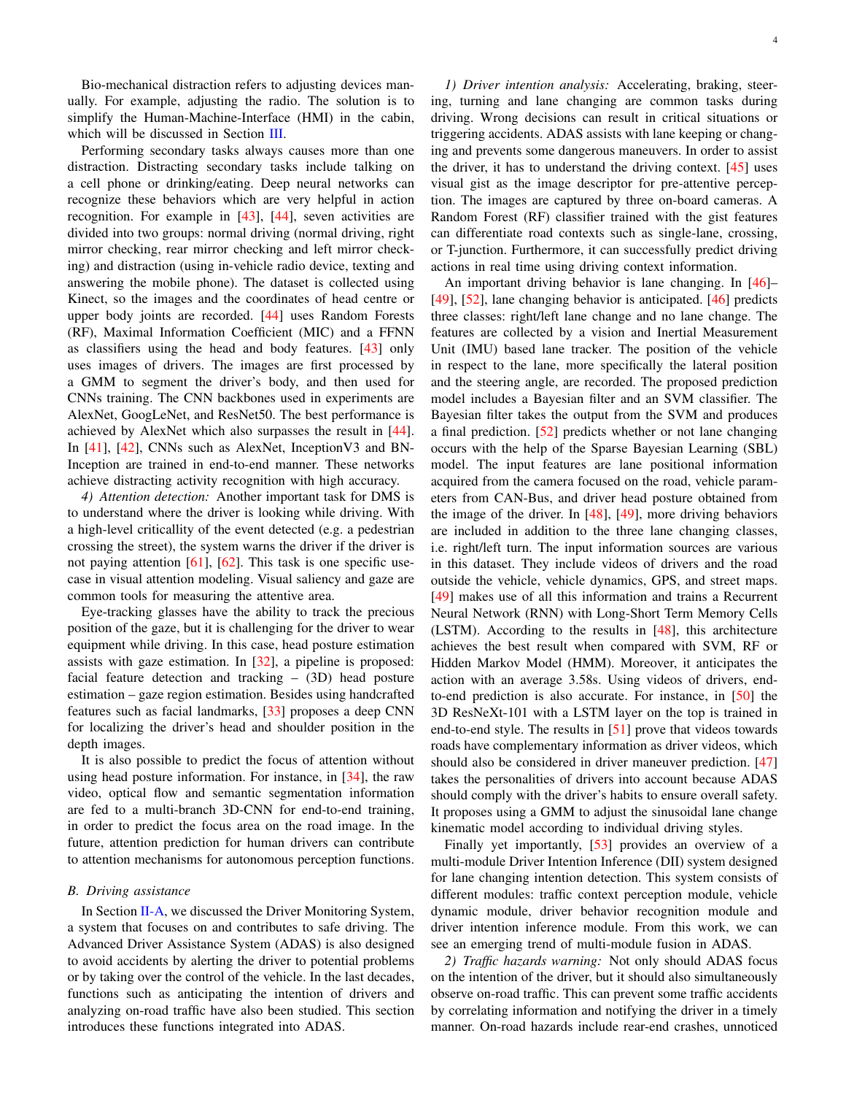Bio-mechanical distraction refers to adjusting devices manually. For example, adjusting the radio. The solution is to simplify the Human-Machine-Interface (HMI) in the cabin, which will be discussed in Section [III.](#page-4-0)

Performing secondary tasks always causes more than one distraction. Distracting secondary tasks include talking on a cell phone or drinking/eating. Deep neural networks can recognize these behaviors which are very helpful in action recognition. For example in [\[43\]](#page-7-39), [\[44\]](#page-7-14), seven activities are divided into two groups: normal driving (normal driving, right mirror checking, rear mirror checking and left mirror checking) and distraction (using in-vehicle radio device, texting and answering the mobile phone). The dataset is collected using Kinect, so the images and the coordinates of head centre or upper body joints are recorded. [\[44\]](#page-7-14) uses Random Forests (RF), Maximal Information Coefficient (MIC) and a FFNN as classifiers using the head and body features. [\[43\]](#page-7-39) only uses images of drivers. The images are first processed by a GMM to segment the driver's body, and then used for CNNs training. The CNN backbones used in experiments are AlexNet, GoogLeNet, and ResNet50. The best performance is achieved by AlexNet which also surpasses the result in [\[44\]](#page-7-14). In [\[41\]](#page-7-40), [\[42\]](#page-7-41), CNNs such as AlexNet, Inception V3 and BN-Inception are trained in end-to-end manner. These networks achieve distracting activity recognition with high accuracy.

*4) Attention detection:* Another important task for DMS is to understand where the driver is looking while driving. With a high-level criticallity of the event detected (e.g. a pedestrian crossing the street), the system warns the driver if the driver is not paying attention [\[61\]](#page-8-4), [\[62\]](#page-8-5). This task is one specific usecase in visual attention modeling. Visual saliency and gaze are common tools for measuring the attentive area.

Eye-tracking glasses have the ability to track the precious position of the gaze, but it is challenging for the driver to wear equipment while driving. In this case, head posture estimation assists with gaze estimation. In [\[32\]](#page-7-15), a pipeline is proposed: facial feature detection and tracking – (3D) head posture estimation – gaze region estimation. Besides using handcrafted features such as facial landmarks, [\[33\]](#page-7-42) proposes a deep CNN for localizing the driver's head and shoulder position in the depth images.

It is also possible to predict the focus of attention without using head posture information. For instance, in [\[34\]](#page-7-16), the raw video, optical flow and semantic segmentation information are fed to a multi-branch 3D-CNN for end-to-end training, in order to predict the focus area on the road image. In the future, attention prediction for human drivers can contribute to attention mechanisms for autonomous perception functions.

# *B. Driving assistance*

In Section [II-A,](#page-1-2) we discussed the Driver Monitoring System, a system that focuses on and contributes to safe driving. The Advanced Driver Assistance System (ADAS) is also designed to avoid accidents by alerting the driver to potential problems or by taking over the control of the vehicle. In the last decades, functions such as anticipating the intention of drivers and analyzing on-road traffic have also been studied. This section introduces these functions integrated into ADAS.

*1) Driver intention analysis:* Accelerating, braking, steering, turning and lane changing are common tasks during driving. Wrong decisions can result in critical situations or triggering accidents. ADAS assists with lane keeping or changing and prevents some dangerous maneuvers. In order to assist the driver, it has to understand the driving context.  $[45]$  uses visual gist as the image descriptor for pre-attentive perception. The images are captured by three on-board cameras. A Random Forest (RF) classifier trained with the gist features can differentiate road contexts such as single-lane, crossing, or T-junction. Furthermore, it can successfully predict driving actions in real time using driving context information.

An important driving behavior is lane changing. In [\[46\]](#page-8-6)– [\[49\]](#page-8-7), [\[52\]](#page-8-1), lane changing behavior is anticipated. [\[46\]](#page-8-6) predicts three classes: right/left lane change and no lane change. The features are collected by a vision and Inertial Measurement Unit (IMU) based lane tracker. The position of the vehicle in respect to the lane, more specifically the lateral position and the steering angle, are recorded. The proposed prediction model includes a Bayesian filter and an SVM classifier. The Bayesian filter takes the output from the SVM and produces a final prediction. [\[52\]](#page-8-1) predicts whether or not lane changing occurs with the help of the Sparse Bayesian Learning (SBL) model. The input features are lane positional information acquired from the camera focused on the road, vehicle parameters from CAN-Bus, and driver head posture obtained from the image of the driver. In  $[48]$ ,  $[49]$ , more driving behaviors are included in addition to the three lane changing classes, i.e. right/left turn. The input information sources are various in this dataset. They include videos of drivers and the road outside the vehicle, vehicle dynamics, GPS, and street maps. [\[49\]](#page-8-7) makes use of all this information and trains a Recurrent Neural Network (RNN) with Long-Short Term Memory Cells (LSTM). According to the results in [\[48\]](#page-8-8), this architecture achieves the best result when compared with SVM, RF or Hidden Markov Model (HMM). Moreover, it anticipates the action with an average 3.58s. Using videos of drivers, endto-end prediction is also accurate. For instance, in [\[50\]](#page-8-9) the 3D ResNeXt-101 with a LSTM layer on the top is trained in end-to-end style. The results in [\[51\]](#page-8-10) prove that videos towards roads have complementary information as driver videos, which should also be considered in driver maneuver prediction. [\[47\]](#page-8-11) takes the personalities of drivers into account because ADAS should comply with the driver's habits to ensure overall safety. It proposes using a GMM to adjust the sinusoidal lane change kinematic model according to individual driving styles.

Finally yet importantly, [\[53\]](#page-8-12) provides an overview of a multi-module Driver Intention Inference (DII) system designed for lane changing intention detection. This system consists of different modules: traffic context perception module, vehicle dynamic module, driver behavior recognition module and driver intention inference module. From this work, we can see an emerging trend of multi-module fusion in ADAS.

*2) Traffic hazards warning:* Not only should ADAS focus on the intention of the driver, but it should also simultaneously observe on-road traffic. This can prevent some traffic accidents by correlating information and notifying the driver in a timely manner. On-road hazards include rear-end crashes, unnoticed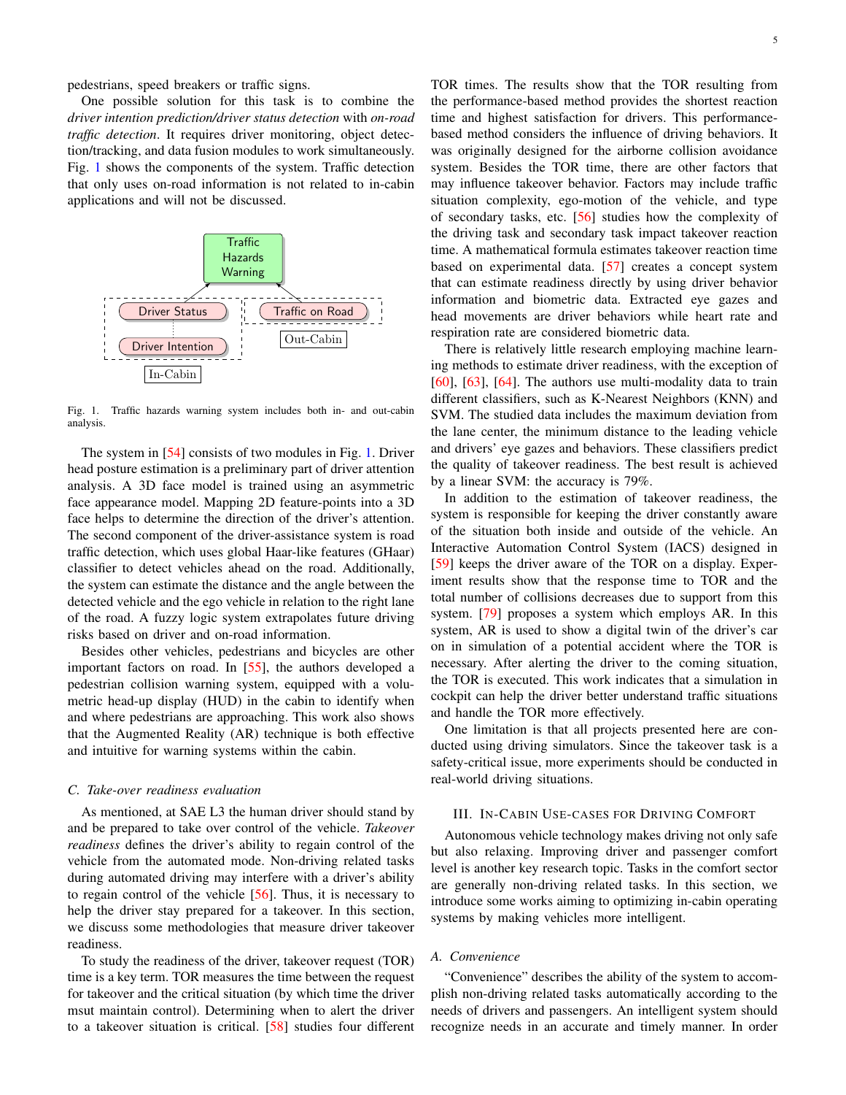pedestrians, speed breakers or traffic signs.

One possible solution for this task is to combine the *driver intention prediction/driver status detection* with *on-road traffic detection*. It requires driver monitoring, object detection/tracking, and data fusion modules to work simultaneously. Fig. [1](#page-4-1) shows the components of the system. Traffic detection that only uses on-road information is not related to in-cabin applications and will not be discussed.



<span id="page-4-1"></span>Fig. 1. Traffic hazards warning system includes both in- and out-cabin analysis.

The system in [\[54\]](#page-8-2) consists of two modules in Fig. [1.](#page-4-1) Driver head posture estimation is a preliminary part of driver attention analysis. A 3D face model is trained using an asymmetric face appearance model. Mapping 2D feature-points into a 3D face helps to determine the direction of the driver's attention. The second component of the driver-assistance system is road traffic detection, which uses global Haar-like features (GHaar) classifier to detect vehicles ahead on the road. Additionally, the system can estimate the distance and the angle between the detected vehicle and the ego vehicle in relation to the right lane of the road. A fuzzy logic system extrapolates future driving risks based on driver and on-road information.

Besides other vehicles, pedestrians and bicycles are other important factors on road. In [\[55\]](#page-8-13), the authors developed a pedestrian collision warning system, equipped with a volumetric head-up display (HUD) in the cabin to identify when and where pedestrians are approaching. This work also shows that the Augmented Reality (AR) technique is both effective and intuitive for warning systems within the cabin.

### *C. Take-over readiness evaluation*

As mentioned, at SAE L3 the human driver should stand by and be prepared to take over control of the vehicle. *Takeover readiness* defines the driver's ability to regain control of the vehicle from the automated mode. Non-driving related tasks during automated driving may interfere with a driver's ability to regain control of the vehicle [\[56\]](#page-8-14). Thus, it is necessary to help the driver stay prepared for a takeover. In this section, we discuss some methodologies that measure driver takeover readiness.

To study the readiness of the driver, takeover request (TOR) time is a key term. TOR measures the time between the request for takeover and the critical situation (by which time the driver msut maintain control). Determining when to alert the driver to a takeover situation is critical. [\[58\]](#page-8-15) studies four different TOR times. The results show that the TOR resulting from the performance-based method provides the shortest reaction time and highest satisfaction for drivers. This performancebased method considers the influence of driving behaviors. It was originally designed for the airborne collision avoidance system. Besides the TOR time, there are other factors that may influence takeover behavior. Factors may include traffic situation complexity, ego-motion of the vehicle, and type of secondary tasks, etc. [\[56\]](#page-8-14) studies how the complexity of the driving task and secondary task impact takeover reaction time. A mathematical formula estimates takeover reaction time based on experimental data. [\[57\]](#page-8-16) creates a concept system that can estimate readiness directly by using driver behavior information and biometric data. Extracted eye gazes and head movements are driver behaviors while heart rate and respiration rate are considered biometric data.

There is relatively little research employing machine learning methods to estimate driver readiness, with the exception of [\[60\]](#page-8-3), [\[63\]](#page-8-17), [\[64\]](#page-8-18). The authors use multi-modality data to train different classifiers, such as K-Nearest Neighbors (KNN) and SVM. The studied data includes the maximum deviation from the lane center, the minimum distance to the leading vehicle and drivers' eye gazes and behaviors. These classifiers predict the quality of takeover readiness. The best result is achieved by a linear SVM: the accuracy is 79%.

In addition to the estimation of takeover readiness, the system is responsible for keeping the driver constantly aware of the situation both inside and outside of the vehicle. An Interactive Automation Control System (IACS) designed in [\[59\]](#page-8-19) keeps the driver aware of the TOR on a display. Experiment results show that the response time to TOR and the total number of collisions decreases due to support from this system. [\[79\]](#page-8-20) proposes a system which employs AR. In this system, AR is used to show a digital twin of the driver's car on in simulation of a potential accident where the TOR is necessary. After alerting the driver to the coming situation, the TOR is executed. This work indicates that a simulation in cockpit can help the driver better understand traffic situations and handle the TOR more effectively.

One limitation is that all projects presented here are conducted using driving simulators. Since the takeover task is a safety-critical issue, more experiments should be conducted in real-world driving situations.

# <span id="page-4-0"></span>III. IN-CABIN USE-CASES FOR DRIVING COMFORT

Autonomous vehicle technology makes driving not only safe but also relaxing. Improving driver and passenger comfort level is another key research topic. Tasks in the comfort sector are generally non-driving related tasks. In this section, we introduce some works aiming to optimizing in-cabin operating systems by making vehicles more intelligent.

# *A. Convenience*

"Convenience" describes the ability of the system to accomplish non-driving related tasks automatically according to the needs of drivers and passengers. An intelligent system should recognize needs in an accurate and timely manner. In order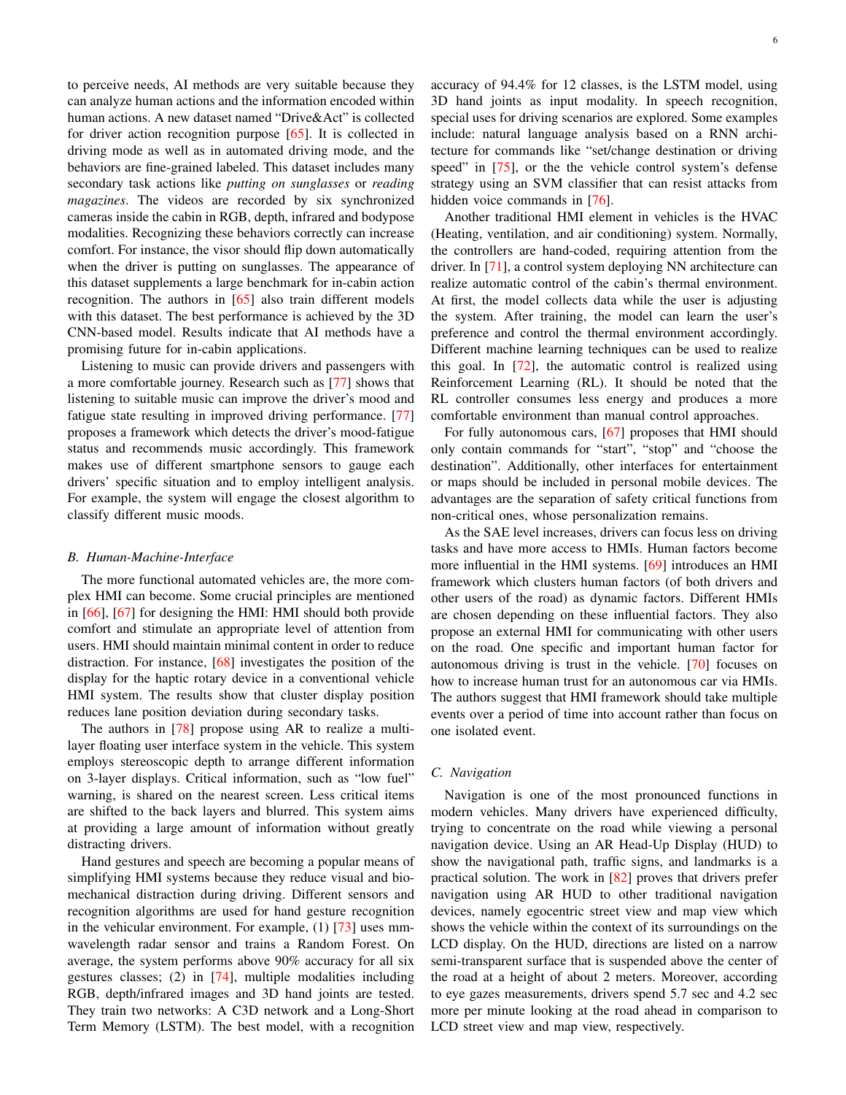to perceive needs, AI methods are very suitable because they can analyze human actions and the information encoded within human actions. A new dataset named "Drive&Act" is collected for driver action recognition purpose [\[65\]](#page-8-21). It is collected in driving mode as well as in automated driving mode, and the behaviors are fine-grained labeled. This dataset includes many secondary task actions like *putting on sunglasses* or *reading magazines*. The videos are recorded by six synchronized cameras inside the cabin in RGB, depth, infrared and bodypose modalities. Recognizing these behaviors correctly can increase comfort. For instance, the visor should flip down automatically when the driver is putting on sunglasses. The appearance of this dataset supplements a large benchmark for in-cabin action recognition. The authors in [\[65\]](#page-8-21) also train different models with this dataset. The best performance is achieved by the 3D CNN-based model. Results indicate that AI methods have a promising future for in-cabin applications.

Listening to music can provide drivers and passengers with a more comfortable journey. Research such as [\[77\]](#page-8-22) shows that listening to suitable music can improve the driver's mood and fatigue state resulting in improved driving performance. [\[77\]](#page-8-22) proposes a framework which detects the driver's mood-fatigue status and recommends music accordingly. This framework makes use of different smartphone sensors to gauge each drivers' specific situation and to employ intelligent analysis. For example, the system will engage the closest algorithm to classify different music moods.

#### *B. Human-Machine-Interface*

The more functional automated vehicles are, the more complex HMI can become. Some crucial principles are mentioned in [\[66\]](#page-8-23), [\[67\]](#page-8-24) for designing the HMI: HMI should both provide comfort and stimulate an appropriate level of attention from users. HMI should maintain minimal content in order to reduce distraction. For instance, [\[68\]](#page-8-25) investigates the position of the display for the haptic rotary device in a conventional vehicle HMI system. The results show that cluster display position reduces lane position deviation during secondary tasks.

The authors in [\[78\]](#page-8-26) propose using AR to realize a multilayer floating user interface system in the vehicle. This system employs stereoscopic depth to arrange different information on 3-layer displays. Critical information, such as "low fuel" warning, is shared on the nearest screen. Less critical items are shifted to the back layers and blurred. This system aims at providing a large amount of information without greatly distracting drivers.

Hand gestures and speech are becoming a popular means of simplifying HMI systems because they reduce visual and biomechanical distraction during driving. Different sensors and recognition algorithms are used for hand gesture recognition in the vehicular environment. For example, (1) [\[73\]](#page-8-27) uses mmwavelength radar sensor and trains a Random Forest. On average, the system performs above 90% accuracy for all six gestures classes; (2) in [\[74\]](#page-8-28), multiple modalities including RGB, depth/infrared images and 3D hand joints are tested. They train two networks: A C3D network and a Long-Short Term Memory (LSTM). The best model, with a recognition accuracy of 94.4% for 12 classes, is the LSTM model, using 3D hand joints as input modality. In speech recognition, special uses for driving scenarios are explored. Some examples include: natural language analysis based on a RNN architecture for commands like "set/change destination or driving speed" in [\[75\]](#page-8-29), or the the vehicle control system's defense strategy using an SVM classifier that can resist attacks from hidden voice commands in [\[76\]](#page-8-30).

Another traditional HMI element in vehicles is the HVAC (Heating, ventilation, and air conditioning) system. Normally, the controllers are hand-coded, requiring attention from the driver. In [\[71\]](#page-8-31), a control system deploying NN architecture can realize automatic control of the cabin's thermal environment. At first, the model collects data while the user is adjusting the system. After training, the model can learn the user's preference and control the thermal environment accordingly. Different machine learning techniques can be used to realize this goal. In [\[72\]](#page-8-32), the automatic control is realized using Reinforcement Learning (RL). It should be noted that the RL controller consumes less energy and produces a more comfortable environment than manual control approaches.

For fully autonomous cars, [\[67\]](#page-8-24) proposes that HMI should only contain commands for "start", "stop" and "choose the destination". Additionally, other interfaces for entertainment or maps should be included in personal mobile devices. The advantages are the separation of safety critical functions from non-critical ones, whose personalization remains.

As the SAE level increases, drivers can focus less on driving tasks and have more access to HMIs. Human factors become more influential in the HMI systems. [\[69\]](#page-8-33) introduces an HMI framework which clusters human factors (of both drivers and other users of the road) as dynamic factors. Different HMIs are chosen depending on these influential factors. They also propose an external HMI for communicating with other users on the road. One specific and important human factor for autonomous driving is trust in the vehicle. [\[70\]](#page-8-34) focuses on how to increase human trust for an autonomous car via HMIs. The authors suggest that HMI framework should take multiple events over a period of time into account rather than focus on one isolated event.

## *C. Navigation*

Navigation is one of the most pronounced functions in modern vehicles. Many drivers have experienced difficulty, trying to concentrate on the road while viewing a personal navigation device. Using an AR Head-Up Display (HUD) to show the navigational path, traffic signs, and landmarks is a practical solution. The work in [\[82\]](#page-8-35) proves that drivers prefer navigation using AR HUD to other traditional navigation devices, namely egocentric street view and map view which shows the vehicle within the context of its surroundings on the LCD display. On the HUD, directions are listed on a narrow semi-transparent surface that is suspended above the center of the road at a height of about 2 meters. Moreover, according to eye gazes measurements, drivers spend 5.7 sec and 4.2 sec more per minute looking at the road ahead in comparison to LCD street view and map view, respectively.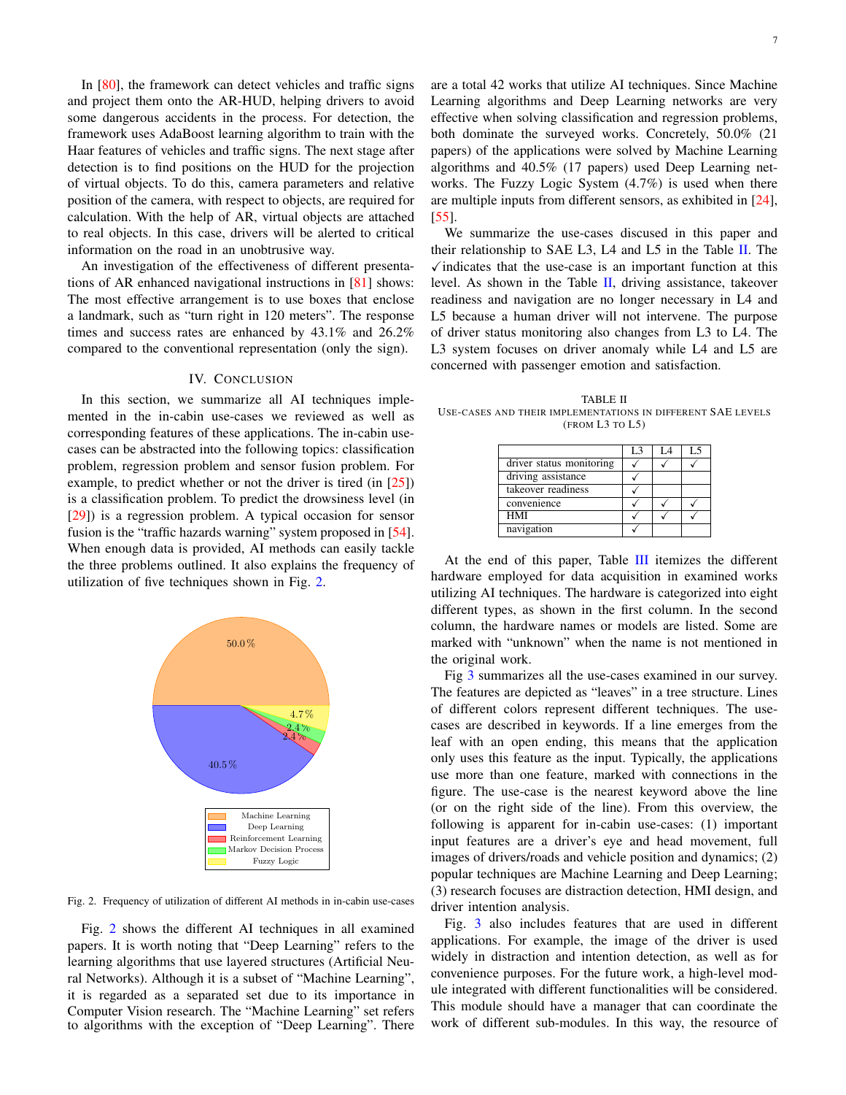In [\[80\]](#page-8-36), the framework can detect vehicles and traffic signs and project them onto the AR-HUD, helping drivers to avoid some dangerous accidents in the process. For detection, the framework uses AdaBoost learning algorithm to train with the Haar features of vehicles and traffic signs. The next stage after detection is to find positions on the HUD for the projection of virtual objects. To do this, camera parameters and relative position of the camera, with respect to objects, are required for calculation. With the help of AR, virtual objects are attached to real objects. In this case, drivers will be alerted to critical information on the road in an unobtrusive way.

An investigation of the effectiveness of different presentations of AR enhanced navigational instructions in [\[81\]](#page-8-37) shows: The most effective arrangement is to use boxes that enclose a landmark, such as "turn right in 120 meters". The response times and success rates are enhanced by 43.1% and 26.2% compared to the conventional representation (only the sign).

### IV. CONCLUSION

In this section, we summarize all AI techniques implemented in the in-cabin use-cases we reviewed as well as corresponding features of these applications. The in-cabin usecases can be abstracted into the following topics: classification problem, regression problem and sensor fusion problem. For example, to predict whether or not the driver is tired (in  $[25]$ ) is a classification problem. To predict the drowsiness level (in [\[29\]](#page-7-8)) is a regression problem. A typical occasion for sensor fusion is the "traffic hazards warning" system proposed in [\[54\]](#page-8-2). When enough data is provided, AI methods can easily tackle the three problems outlined. It also explains the frequency of utilization of five techniques shown in Fig. [2.](#page-6-0)



<span id="page-6-0"></span>Fig. 2. Frequency of utilization of different AI methods in in-cabin use-cases

Fig. [2](#page-6-0) shows the different AI techniques in all examined papers. It is worth noting that "Deep Learning" refers to the learning algorithms that use layered structures (Artificial Neural Networks). Although it is a subset of "Machine Learning", it is regarded as a separated set due to its importance in Computer Vision research. The "Machine Learning" set refers to algorithms with the exception of "Deep Learning". There are a total 42 works that utilize AI techniques. Since Machine Learning algorithms and Deep Learning networks are very effective when solving classification and regression problems, both dominate the surveyed works. Concretely, 50.0% (21 papers) of the applications were solved by Machine Learning algorithms and 40.5% (17 papers) used Deep Learning networks. The Fuzzy Logic System (4.7%) is used when there are multiple inputs from different sensors, as exhibited in [\[24\]](#page-7-6), [\[55\]](#page-8-13).

We summarize the use-cases discused in this paper and their relationship to SAE L3, L4 and L5 in the Table [II.](#page-6-1) The  $\sqrt{\overline{a}}$  indicates that the use-case is an important function at this level. As shown in the Table [II,](#page-6-1) driving assistance, takeover readiness and navigation are no longer necessary in L4 and L5 because a human driver will not intervene. The purpose of driver status monitoring also changes from L3 to L4. The L3 system focuses on driver anomaly while L4 and L5 are concerned with passenger emotion and satisfaction.

<span id="page-6-1"></span>TABLE II USE-CASES AND THEIR IMPLEMENTATIONS IN DIFFERENT SAE LEVELS (FROM L3 TO L5)

| L <sub>3</sub> | L5 |
|----------------|----|
|                |    |
|                |    |
|                |    |
|                |    |
|                |    |
|                |    |
|                |    |

At the end of this paper, Table [III](#page-9-0) itemizes the different hardware employed for data acquisition in examined works utilizing AI techniques. The hardware is categorized into eight different types, as shown in the first column. In the second column, the hardware names or models are listed. Some are marked with "unknown" when the name is not mentioned in the original work.

Fig [3](#page-10-0) summarizes all the use-cases examined in our survey. The features are depicted as "leaves" in a tree structure. Lines of different colors represent different techniques. The usecases are described in keywords. If a line emerges from the leaf with an open ending, this means that the application only uses this feature as the input. Typically, the applications use more than one feature, marked with connections in the figure. The use-case is the nearest keyword above the line (or on the right side of the line). From this overview, the following is apparent for in-cabin use-cases: (1) important input features are a driver's eye and head movement, full images of drivers/roads and vehicle position and dynamics; (2) popular techniques are Machine Learning and Deep Learning; (3) research focuses are distraction detection, HMI design, and driver intention analysis.

Fig. [3](#page-10-0) also includes features that are used in different applications. For example, the image of the driver is used widely in distraction and intention detection, as well as for convenience purposes. For the future work, a high-level module integrated with different functionalities will be considered. This module should have a manager that can coordinate the work of different sub-modules. In this way, the resource of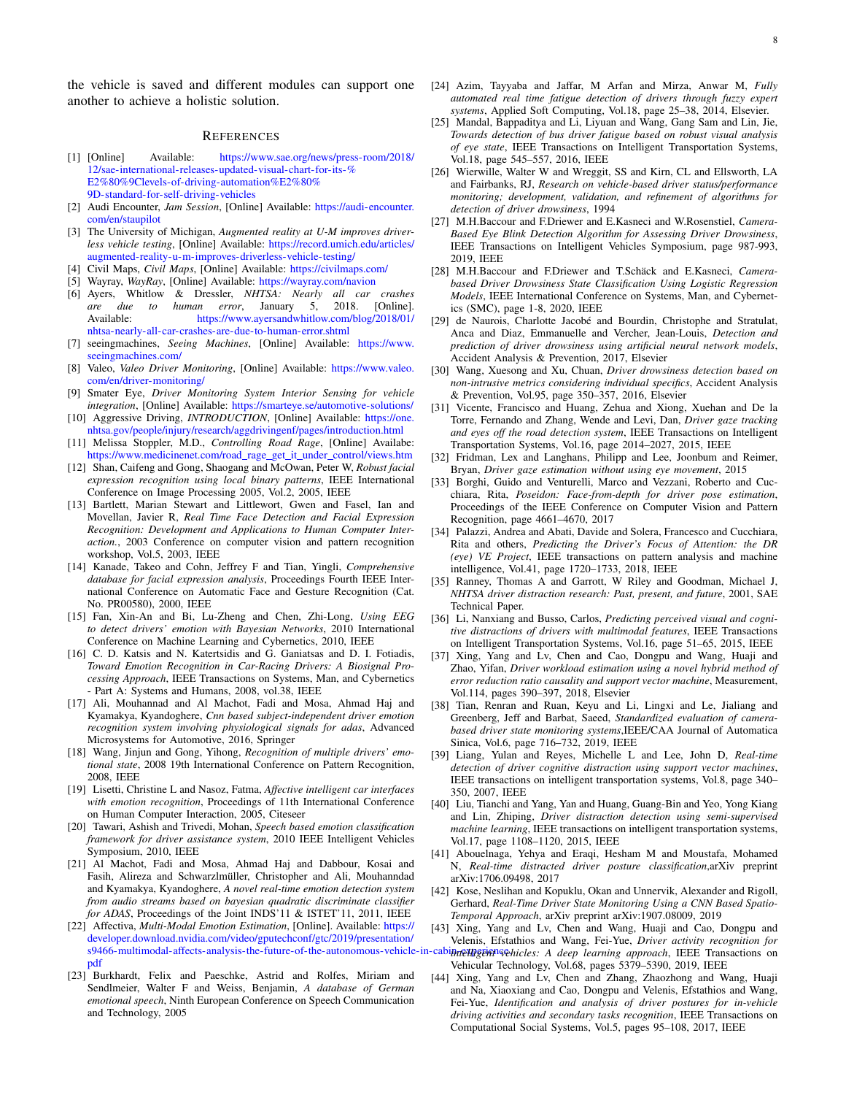the vehicle is saved and different modules can support one another to achieve a holistic solution.

#### **REFERENCES**

- <span id="page-7-0"></span>[1] [Online] Available: [https://www.sae.org/news/press-room/2018/](https://www.sae.org/news/press-room/2018/12/sae-international-releases-updated-visual-chart-for-its-%E2%80%9Clevels-of-driving-automation%E2%80%9D-standard-for-self-driving-vehicles) [12/sae-international-releases-updated-visual-chart-for-its-%](https://www.sae.org/news/press-room/2018/12/sae-international-releases-updated-visual-chart-for-its-%E2%80%9Clevels-of-driving-automation%E2%80%9D-standard-for-self-driving-vehicles) [E2%80%9Clevels-of-driving-automation%E2%80%](https://www.sae.org/news/press-room/2018/12/sae-international-releases-updated-visual-chart-for-its-%E2%80%9Clevels-of-driving-automation%E2%80%9D-standard-for-self-driving-vehicles) [9D-standard-for-self-driving-vehicles](https://www.sae.org/news/press-room/2018/12/sae-international-releases-updated-visual-chart-for-its-%E2%80%9Clevels-of-driving-automation%E2%80%9D-standard-for-self-driving-vehicles)
- <span id="page-7-1"></span>[2] Audi Encounter, *Jam Session*, [Online] Available: [https://audi-encounter.](https://audi-encounter.com/en/staupilot) [com/en/staupilot](https://audi-encounter.com/en/staupilot)
- <span id="page-7-2"></span>[3] The University of Michigan, *Augmented reality at U-M improves driverless vehicle testing*, [Online] Available: [https://record.umich.edu/articles/](https://record.umich.edu/articles/augmented-reality-u-m-improves-driverless-vehicle-testing/) [augmented-reality-u-m-improves-driverless-vehicle-testing/](https://record.umich.edu/articles/augmented-reality-u-m-improves-driverless-vehicle-testing/)
- [4] Civil Maps, *Civil Maps*, [Online] Available: <https://civilmaps.com/>
- <span id="page-7-3"></span>[5] Wayray, *WayRay*, [Online] Available: <https://wayray.com/navion>
- <span id="page-7-17"></span>[6] Ayers, Whitlow & Dressler, *NHTSA: Nearly all car crashes are due to human error*, January 5, 2018. Available: [https://www.ayersandwhitlow.com/blog/2018/01/](https://www.ayersandwhitlow.com/blog/2018/01/nhtsa-nearly-all-car-crashes-are-due-to-human-error.shtml) [nhtsa-nearly-all-car-crashes-are-due-to-human-error.shtml](https://www.ayersandwhitlow.com/blog/2018/01/nhtsa-nearly-all-car-crashes-are-due-to-human-error.shtml)
- <span id="page-7-18"></span>[7] seeingmachines, *Seeing Machines*, [Online] Available: [https://www.](https://www.seeingmachines.com/) [seeingmachines.com/](https://www.seeingmachines.com/)
- <span id="page-7-19"></span>[8] Valeo, *Valeo Driver Monitoring*, [Online] Available: [https://www.valeo.](https://www.valeo.com/en/driver-monitoring/) [com/en/driver-monitoring/](https://www.valeo.com/en/driver-monitoring/)
- <span id="page-7-20"></span>[9] Smater Eye, *Driver Monitoring System Interior Sensing for vehicle integration*, [Online] Available: <https://smarteye.se/automotive-solutions/>
- <span id="page-7-21"></span>[10] Aggressive Driving, *INTRODUCTION*, [Online] Available: [https://one.](https://one.nhtsa.gov/people/injury/research/aggdrivingenf/pages/introduction.html) [nhtsa.gov/people/injury/research/aggdrivingenf/pages/introduction.html](https://one.nhtsa.gov/people/injury/research/aggdrivingenf/pages/introduction.html)
- <span id="page-7-22"></span>[11] Melissa Stoppler, M.D., *Controlling Road Rage*, [Online] Availabe: [https://www.medicinenet.com/road](https://www.medicinenet.com/road_rage_get_it_under_control/views.htm)\_rage\_get\_it\_under\_control/views.htm
- <span id="page-7-23"></span>[12] Shan, Caifeng and Gong, Shaogang and McOwan, Peter W, *Robust facial expression recognition using local binary patterns*, IEEE International Conference on Image Processing 2005, Vol.2, 2005, IEEE
- <span id="page-7-24"></span>[13] Bartlett, Marian Stewart and Littlewort, Gwen and Fasel, Ian and Movellan, Javier R, *Real Time Face Detection and Facial Expression Recognition: Development and Applications to Human Computer Interaction.*, 2003 Conference on computer vision and pattern recognition workshop, Vol.5, 2003, IEEE
- <span id="page-7-25"></span>[14] Kanade, Takeo and Cohn, Jeffrey F and Tian, Yingli, *Comprehensive database for facial expression analysis*, Proceedings Fourth IEEE International Conference on Automatic Face and Gesture Recognition (Cat. No. PR00580), 2000, IEEE
- <span id="page-7-4"></span>[15] Fan, Xin-An and Bi, Lu-Zheng and Chen, Zhi-Long, *Using EEG to detect drivers' emotion with Bayesian Networks*, 2010 International Conference on Machine Learning and Cybernetics, 2010, IEEE
- <span id="page-7-27"></span>[16] C. D. Katsis and N. Katertsidis and G. Ganiatsas and D. I. Fotiadis, *Toward Emotion Recognition in Car-Racing Drivers: A Biosignal Processing Approach*, IEEE Transactions on Systems, Man, and Cybernetics - Part A: Systems and Humans, 2008, vol.38, IEEE
- <span id="page-7-26"></span>[17] Ali, Mouhannad and Al Machot, Fadi and Mosa, Ahmad Haj and Kyamakya, Kyandoghere, *Cnn based subject-independent driver emotion recognition system involving physiological signals for adas*, Advanced Microsystems for Automotive, 2016, Springer
- <span id="page-7-29"></span>[18] Wang, Jinjun and Gong, Yihong, *Recognition of multiple drivers' emotional state*, 2008 19th International Conference on Pattern Recognition, 2008, IEEE
- <span id="page-7-28"></span>[19] Lisetti, Christine L and Nasoz, Fatma, *Affective intelligent car interfaces with emotion recognition*, Proceedings of 11th International Conference on Human Computer Interaction, 2005, Citeseer
- <span id="page-7-30"></span>[20] Tawari, Ashish and Trivedi, Mohan, *Speech based emotion classification framework for driver assistance system*, 2010 IEEE Intelligent Vehicles Symposium, 2010, IEEE
- <span id="page-7-31"></span>[21] Al Machot, Fadi and Mosa, Ahmad Haj and Dabbour, Kosai and Fasih, Alireza and Schwarzlmüller, Christopher and Ali, Mouhanndad and Kyamakya, Kyandoghere, *A novel real-time emotion detection system from audio streams based on bayesian quadratic discriminate classifier for ADAS*, Proceedings of the Joint INDS'11 & ISTET'11, 2011, IEEE
- <span id="page-7-5"></span>[22] Affectiva, *Multi-Modal Emotion Estimation*, [Online]. Available: [https://](https://developer.download.nvidia.com/video/gputechconf/gtc/2019/presentation/s9466-multimodal-affects-analysis-the-future-of-the-autonomous-vehicle-in-cabin-experience.pdf) [developer.download.nvidia.com/video/gputechconf/gtc/2019/presentation/](https://developer.download.nvidia.com/video/gputechconf/gtc/2019/presentation/s9466-multimodal-affects-analysis-the-future-of-the-autonomous-vehicle-in-cabin-experience.pdf) [s9466-multimodal-affects-analysis-the-future-of-the-autonomous-vehicle](https://developer.download.nvidia.com/video/gputechconf/gtc/2019/presentation/s9466-multimodal-affects-analysis-the-future-of-the-autonomous-vehicle-in-cabin-experience.pdf)-in-cab [pdf](https://developer.download.nvidia.com/video/gputechconf/gtc/2019/presentation/s9466-multimodal-affects-analysis-the-future-of-the-autonomous-vehicle-in-cabin-experience.pdf)
- <span id="page-7-32"></span>[23] Burkhardt, Felix and Paeschke, Astrid and Rolfes, Miriam and Sendlmeier, Walter F and Weiss, Benjamin, *A database of German emotional speech*, Ninth European Conference on Speech Communication and Technology, 2005
- <span id="page-7-6"></span>[24] Azim, Tayyaba and Jaffar, M Arfan and Mirza, Anwar M, *Fully automated real time fatigue detection of drivers through fuzzy expert systems*, Applied Soft Computing, Vol.18, page 25–38, 2014, Elsevier.
- <span id="page-7-7"></span>[25] Mandal, Bappaditya and Li, Liyuan and Wang, Gang Sam and Lin, Jie, *Towards detection of bus driver fatigue based on robust visual analysis of eye state*, IEEE Transactions on Intelligent Transportation Systems, Vol.18, page 545–557, 2016, IEEE
- <span id="page-7-33"></span>[26] Wierwille, Walter W and Wreggit, SS and Kirn, CL and Ellsworth, LA and Fairbanks, RJ, *Research on vehicle-based driver status/performance monitoring; development, validation, and refinement of algorithms for detection of driver drowsiness*, 1994
- <span id="page-7-34"></span>[27] M.H.Baccour and F.Driewer and E.Kasneci and W.Rosenstiel, *Camera-Based Eye Blink Detection Algorithm for Assessing Driver Drowsiness*, IEEE Transactions on Intelligent Vehicles Symposium, page 987-993, 2019, IEEE
- <span id="page-7-35"></span>[28] M.H.Baccour and F.Driewer and T.Schäck and E.Kasneci, *Camerabased Driver Drowsiness State Classification Using Logistic Regression Models*, IEEE International Conference on Systems, Man, and Cybernetics (SMC), page 1-8, 2020, IEEE
- <span id="page-7-8"></span>[29] de Naurois, Charlotte Jacobé and Bourdin, Christophe and Stratulat, Anca and Diaz, Emmanuelle and Vercher, Jean-Louis, *Detection and prediction of driver drowsiness using artificial neural network models*, Accident Analysis & Prevention, 2017, Elsevier
- <span id="page-7-9"></span>[30] Wang, Xuesong and Xu, Chuan, *Driver drowsiness detection based on non-intrusive metrics considering individual specifics*, Accident Analysis & Prevention, Vol.95, page 350–357, 2016, Elsevier
- <span id="page-7-10"></span>[31] Vicente, Francisco and Huang, Zehua and Xiong, Xuehan and De la Torre, Fernando and Zhang, Wende and Levi, Dan, *Driver gaze tracking and eyes off the road detection system*, IEEE Transactions on Intelligent Transportation Systems, Vol.16, page 2014–2027, 2015, IEEE
- <span id="page-7-15"></span>[32] Fridman, Lex and Langhans, Philipp and Lee, Joonbum and Reimer, Bryan, *Driver gaze estimation without using eye movement*, 2015
- <span id="page-7-42"></span>[33] Borghi, Guido and Venturelli, Marco and Vezzani, Roberto and Cucchiara, Rita, *Poseidon: Face-from-depth for driver pose estimation*, Proceedings of the IEEE Conference on Computer Vision and Pattern Recognition, page 4661–4670, 2017
- <span id="page-7-16"></span>[34] Palazzi, Andrea and Abati, Davide and Solera, Francesco and Cucchiara, Rita and others, *Predicting the Driver's Focus of Attention: the DR (eye) VE Project*, IEEE transactions on pattern analysis and machine intelligence, Vol.41, page 1720–1733, 2018, IEEE
- <span id="page-7-36"></span>[35] Ranney, Thomas A and Garrott, W Riley and Goodman, Michael J, *NHTSA driver distraction research: Past, present, and future*, 2001, SAE Technical Paper.
- <span id="page-7-11"></span>[36] Li, Nanxiang and Busso, Carlos, *Predicting perceived visual and cognitive distractions of drivers with multimodal features*, IEEE Transactions on Intelligent Transportation Systems, Vol.16, page 51–65, 2015, IEEE
- <span id="page-7-12"></span>[37] Xing, Yang and Lv, Chen and Cao, Dongpu and Wang, Huaji and Zhao, Yifan, *Driver workload estimation using a novel hybrid method of error reduction ratio causality and support vector machine*, Measurement, Vol.114, pages 390–397, 2018, Elsevier
- <span id="page-7-37"></span>[38] Tian, Renran and Ruan, Keyu and Li, Lingxi and Le, Jialiang and Greenberg, Jeff and Barbat, Saeed, *Standardized evaluation of camerabased driver state monitoring systems*,IEEE/CAA Journal of Automatica Sinica, Vol.6, page 716–732, 2019, IEEE
- <span id="page-7-13"></span>[39] Liang, Yulan and Reyes, Michelle L and Lee, John D, *Real-time detection of driver cognitive distraction using support vector machines*, IEEE transactions on intelligent transportation systems, Vol.8, page 340– 350, 2007, IEEE
- <span id="page-7-38"></span>[40] Liu, Tianchi and Yang, Yan and Huang, Guang-Bin and Yeo, Yong Kiang and Lin, Zhiping, *Driver distraction detection using semi-supervised machine learning*, IEEE transactions on intelligent transportation systems, Vol.17, page 1108–1120, 2015, IEEE
- <span id="page-7-40"></span>[41] Abouelnaga, Yehya and Eraqi, Hesham M and Moustafa, Mohamed N, *Real-time distracted driver posture classification*,arXiv preprint arXiv:1706.09498, 2017
- <span id="page-7-41"></span>[42] Kose, Neslihan and Kopuklu, Okan and Unnervik, Alexander and Rigoll, Gerhard, *Real-Time Driver State Monitoring Using a CNN Based Spatio-Temporal Approach*, arXiv preprint arXiv:1907.08009, 2019
- <span id="page-7-39"></span>[43] Xing, Yang and Lv, Chen and Wang, Huaji and Cao, Dongpu and Velenis, Efstathios and Wang, Fei-Yue, *Driver activity recognition for*
- *intelligent vehicles: A deep learning approach*, IEEE Transactions on Vehicular Technology, Vol.68, pages 5379–5390, 2019, IEEE
- <span id="page-7-14"></span>[44] Xing, Yang and Lv, Chen and Zhang, Zhaozhong and Wang, Huaji and Na, Xiaoxiang and Cao, Dongpu and Velenis, Efstathios and Wang, Fei-Yue, *Identification and analysis of driver postures for in-vehicle driving activities and secondary tasks recognition*, IEEE Transactions on Computational Social Systems, Vol.5, pages 95–108, 2017, IEEE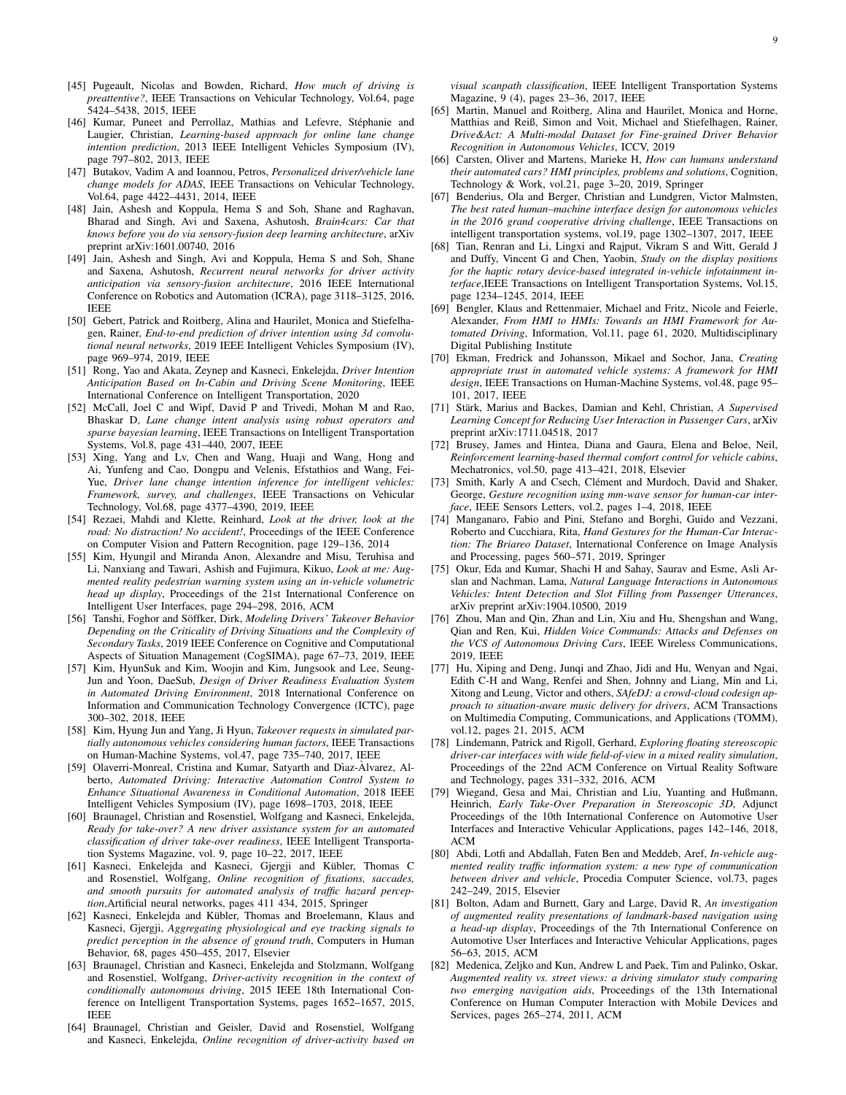- <span id="page-8-0"></span>[45] Pugeault, Nicolas and Bowden, Richard, *How much of driving is preattentive?*, IEEE Transactions on Vehicular Technology, Vol.64, page 5424–5438, 2015, IEEE
- <span id="page-8-6"></span>[46] Kumar, Puneet and Perrollaz, Mathias and Lefevre, Stéphanie and Laugier, Christian, *Learning-based approach for online lane change intention prediction*, 2013 IEEE Intelligent Vehicles Symposium (IV), page 797–802, 2013, IEEE
- <span id="page-8-11"></span>[47] Butakov, Vadim A and Ioannou, Petros, *Personalized driver/vehicle lane change models for ADAS*, IEEE Transactions on Vehicular Technology, Vol.64, page 4422–4431, 2014, IEEE
- <span id="page-8-8"></span>[48] Jain, Ashesh and Koppula, Hema S and Soh, Shane and Raghavan, Bharad and Singh, Avi and Saxena, Ashutosh, *Brain4cars: Car that knows before you do via sensory-fusion deep learning architecture*, arXiv preprint arXiv:1601.00740, 2016
- <span id="page-8-7"></span>[49] Jain, Ashesh and Singh, Avi and Koppula, Hema S and Soh, Shane and Saxena, Ashutosh, *Recurrent neural networks for driver activity anticipation via sensory-fusion architecture*, 2016 IEEE International Conference on Robotics and Automation (ICRA), page 3118–3125, 2016, IEEE
- <span id="page-8-9"></span>[50] Gebert, Patrick and Roitberg, Alina and Haurilet, Monica and Stiefelhagen, Rainer, *End-to-end prediction of driver intention using 3d convolutional neural networks*, 2019 IEEE Intelligent Vehicles Symposium (IV), page 969–974, 2019, IEEE
- <span id="page-8-10"></span>[51] Rong, Yao and Akata, Zeynep and Kasneci, Enkelejda, *Driver Intention Anticipation Based on In-Cabin and Driving Scene Monitoring*, IEEE International Conference on Intelligent Transportation, 2020
- <span id="page-8-1"></span>[52] McCall, Joel C and Wipf, David P and Trivedi, Mohan M and Rao, Bhaskar D, *Lane change intent analysis using robust operators and sparse bayesian learning*, IEEE Transactions on Intelligent Transportation Systems, Vol.8, page 431–440, 2007, IEEE
- <span id="page-8-12"></span>[53] Xing, Yang and Lv, Chen and Wang, Huaji and Wang, Hong and Ai, Yunfeng and Cao, Dongpu and Velenis, Efstathios and Wang, Fei-Yue, *Driver lane change intention inference for intelligent vehicles: Framework, survey, and challenges*, IEEE Transactions on Vehicular Technology, Vol.68, page 4377–4390, 2019, IEEE
- <span id="page-8-2"></span>[54] Rezaei, Mahdi and Klette, Reinhard, *Look at the driver, look at the road: No distraction! No accident!*, Proceedings of the IEEE Conference on Computer Vision and Pattern Recognition, page 129–136, 2014
- <span id="page-8-13"></span>[55] Kim, Hyungil and Miranda Anon, Alexandre and Misu, Teruhisa and Li, Nanxiang and Tawari, Ashish and Fujimura, Kikuo, *Look at me: Augmented reality pedestrian warning system using an in-vehicle volumetric head up display*, Proceedings of the 21st International Conference on Intelligent User Interfaces, page 294–298, 2016, ACM
- <span id="page-8-14"></span>[56] Tanshi, Foghor and Söffker, Dirk, Modeling Drivers' Takeover Behavior *Depending on the Criticality of Driving Situations and the Complexity of Secondary Tasks*, 2019 IEEE Conference on Cognitive and Computational Aspects of Situation Management (CogSIMA), page 67–73, 2019, IEEE
- <span id="page-8-16"></span>[57] Kim, HyunSuk and Kim, Woojin and Kim, Jungsook and Lee, Seung-Jun and Yoon, DaeSub, *Design of Driver Readiness Evaluation System in Automated Driving Environment*, 2018 International Conference on Information and Communication Technology Convergence (ICTC), page 300–302, 2018, IEEE
- <span id="page-8-15"></span>[58] Kim, Hyung Jun and Yang, Ji Hyun, *Takeover requests in simulated partially autonomous vehicles considering human factors*, IEEE Transactions on Human-Machine Systems, vol.47, page 735–740, 2017, IEEE
- <span id="page-8-19"></span>[59] Olaverri-Monreal, Cristina and Kumar, Satyarth and Dìaz-Àlvarez, Alberto, *Automated Driving: Interactive Automation Control System to Enhance Situational Awareness in Conditional Automation*, 2018 IEEE Intelligent Vehicles Symposium (IV), page 1698–1703, 2018, IEEE
- <span id="page-8-3"></span>[60] Braunagel, Christian and Rosenstiel, Wolfgang and Kasneci, Enkelejda, *Ready for take-over? A new driver assistance system for an automated classification of driver take-over readiness*, IEEE Intelligent Transportation Systems Magazine, vol. 9, page 10–22, 2017, IEEE
- <span id="page-8-4"></span>[61] Kasneci, Enkelejda and Kasneci, Gjergji and Kübler, Thomas C and Rosenstiel, Wolfgang, *Online recognition of fixations, saccades, and smooth pursuits for automated analysis of traffic hazard perception*,Artificial neural networks, pages 411 434, 2015, Springer
- <span id="page-8-5"></span>[62] Kasneci, Enkelejda and Kübler, Thomas and Broelemann, Klaus and Kasneci, Gjergji, *Aggregating physiological and eye tracking signals to predict perception in the absence of ground truth*, Computers in Human Behavior, 68, pages 450–455, 2017, Elsevier
- <span id="page-8-17"></span>[63] Braunagel, Christian and Kasneci, Enkelejda and Stolzmann, Wolfgang and Rosenstiel, Wolfgang, *Driver-activity recognition in the context of conditionally autonomous driving*, 2015 IEEE 18th International Conference on Intelligent Transportation Systems, pages 1652–1657, 2015, IEEE
- <span id="page-8-18"></span>[64] Braunagel, Christian and Geisler, David and Rosenstiel, Wolfgang and Kasneci, Enkelejda, *Online recognition of driver-activity based on*

*visual scanpath classification*, IEEE Intelligent Transportation Systems Magazine, 9 (4), pages 23–36, 2017, IEEE

- <span id="page-8-21"></span>[65] Martin, Manuel and Roitberg, Alina and Haurilet, Monica and Horne, Matthias and Reiß, Simon and Voit, Michael and Stiefelhagen, Rainer, *Drive&Act: A Multi-modal Dataset for Fine-grained Driver Behavior Recognition in Autonomous Vehicles*, ICCV, 2019
- <span id="page-8-23"></span>[66] Carsten, Oliver and Martens, Marieke H, *How can humans understand their automated cars? HMI principles, problems and solutions*, Cognition, Technology & Work, vol.21, page 3–20, 2019, Springer
- <span id="page-8-24"></span>[67] Benderius, Ola and Berger, Christian and Lundgren, Victor Malmsten, *The best rated human–machine interface design for autonomous vehicles in the 2016 grand cooperative driving challenge*, IEEE Transactions on intelligent transportation systems, vol.19, page 1302–1307, 2017, IEEE
- <span id="page-8-25"></span>[68] Tian, Renran and Li, Lingxi and Rajput, Vikram S and Witt, Gerald J and Duffy, Vincent G and Chen, Yaobin, *Study on the display positions for the haptic rotary device-based integrated in-vehicle infotainment interface*,IEEE Transactions on Intelligent Transportation Systems, Vol.15, page 1234–1245, 2014, IEEE
- <span id="page-8-33"></span>[69] Bengler, Klaus and Rettenmaier, Michael and Fritz, Nicole and Feierle, Alexander, *From HMI to HMIs: Towards an HMI Framework for Automated Driving*, Information, Vol.11, page 61, 2020, Multidisciplinary Digital Publishing Institute
- <span id="page-8-34"></span>[70] Ekman, Fredrick and Johansson, Mikael and Sochor, Jana, *Creating appropriate trust in automated vehicle systems: A framework for HMI design*, IEEE Transactions on Human-Machine Systems, vol.48, page 95– 101, 2017, IEEE
- <span id="page-8-31"></span>[71] Stärk, Marius and Backes, Damian and Kehl, Christian, A Supervised *Learning Concept for Reducing User Interaction in Passenger Cars*, arXiv preprint arXiv:1711.04518, 2017
- <span id="page-8-32"></span>[72] Brusey, James and Hintea, Diana and Gaura, Elena and Beloe, Neil, *Reinforcement learning-based thermal comfort control for vehicle cabins*, Mechatronics, vol.50, page 413–421, 2018, Elsevier
- <span id="page-8-27"></span>[73] Smith, Karly A and Csech, Clément and Murdoch, David and Shaker, George, *Gesture recognition using mm-wave sensor for human-car interface*, IEEE Sensors Letters, vol.2, pages 1–4, 2018, IEEE
- <span id="page-8-28"></span>[74] Manganaro, Fabio and Pini, Stefano and Borghi, Guido and Vezzani, Roberto and Cucchiara, Rita, *Hand Gestures for the Human-Car Interaction: The Briareo Dataset*, International Conference on Image Analysis and Processing, pages 560–571, 2019, Springer
- <span id="page-8-29"></span>[75] Okur, Eda and Kumar, Shachi H and Sahay, Saurav and Esme, Asli Arslan and Nachman, Lama, *Natural Language Interactions in Autonomous Vehicles: Intent Detection and Slot Filling from Passenger Utterances*, arXiv preprint arXiv:1904.10500, 2019
- <span id="page-8-30"></span>[76] Zhou, Man and Qin, Zhan and Lin, Xiu and Hu, Shengshan and Wang, Qian and Ren, Kui, *Hidden Voice Commands: Attacks and Defenses on the VCS of Autonomous Driving Cars*, IEEE Wireless Communications, 2019, IEEE
- <span id="page-8-22"></span>[77] Hu, Xiping and Deng, Junqi and Zhao, Jidi and Hu, Wenyan and Ngai, Edith C-H and Wang, Renfei and Shen, Johnny and Liang, Min and Li, Xitong and Leung, Victor and others, *SAfeDJ: a crowd-cloud codesign approach to situation-aware music delivery for drivers*, ACM Transactions on Multimedia Computing, Communications, and Applications (TOMM), vol.12, pages 21, 2015, ACM
- <span id="page-8-26"></span>[78] Lindemann, Patrick and Rigoll, Gerhard, *Exploring floating stereoscopic driver-car interfaces with wide field-of-view in a mixed reality simulation*, Proceedings of the 22nd ACM Conference on Virtual Reality Software and Technology, pages 331–332, 2016, ACM
- <span id="page-8-20"></span>[79] Wiegand, Gesa and Mai, Christian and Liu, Yuanting and Hußmann, Heinrich, *Early Take-Over Preparation in Stereoscopic 3D*, Adjunct Proceedings of the 10th International Conference on Automotive User Interfaces and Interactive Vehicular Applications, pages 142–146, 2018, ACM
- <span id="page-8-36"></span>[80] Abdi, Lotfi and Abdallah, Faten Ben and Meddeb, Aref, *In-vehicle augmented reality traffic information system: a new type of communication between driver and vehicle*, Procedia Computer Science, vol.73, pages 242–249, 2015, Elsevier
- <span id="page-8-37"></span>[81] Bolton, Adam and Burnett, Gary and Large, David R, *An investigation of augmented reality presentations of landmark-based navigation using a head-up display*, Proceedings of the 7th International Conference on Automotive User Interfaces and Interactive Vehicular Applications, pages 56–63, 2015, ACM
- <span id="page-8-35"></span>[82] Medenica, Zeljko and Kun, Andrew L and Paek, Tim and Palinko, Oskar, *Augmented reality vs. street views: a driving simulator study comparing two emerging navigation aids*, Proceedings of the 13th International Conference on Human Computer Interaction with Mobile Devices and Services, pages 265–274, 2011, ACM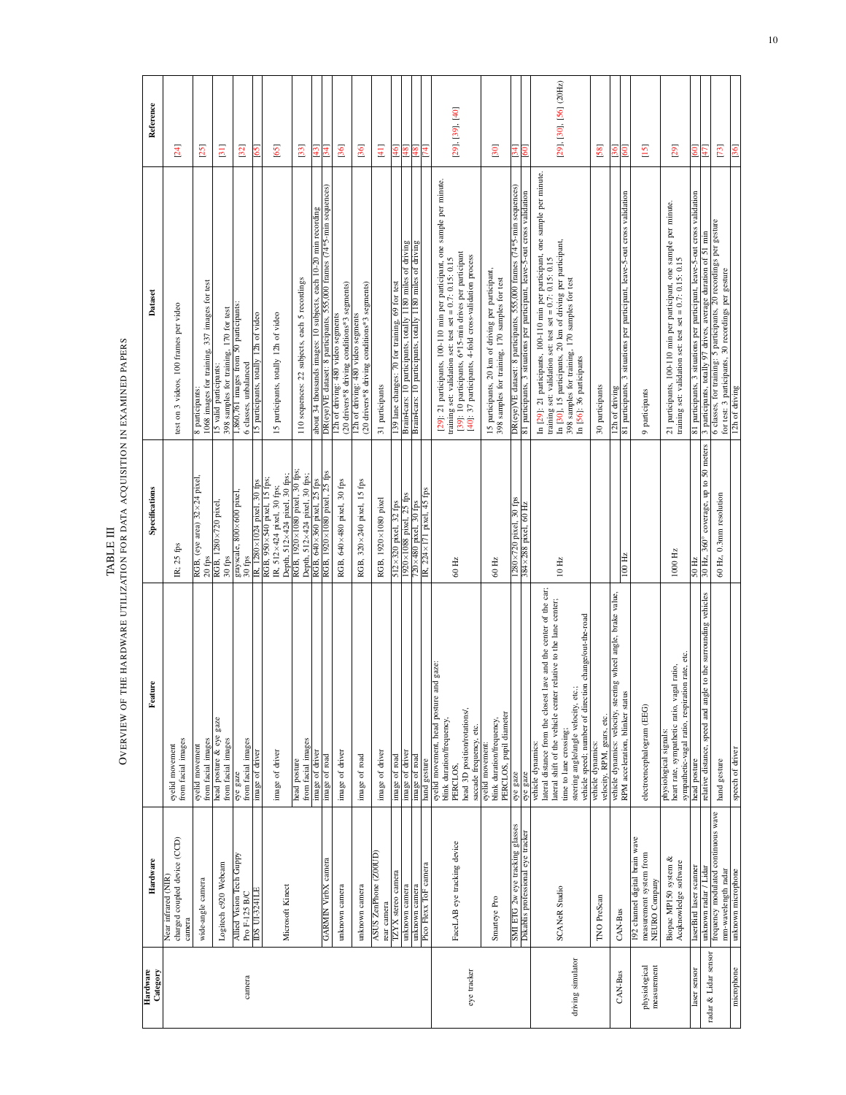| TA DI E III<br>$\mathbf{H}$ | OVERVIEW OF THE HARDWARE UTILIZATION FOR DATA ACQUISITION IN EXAMINED PAPERS |
|-----------------------------|------------------------------------------------------------------------------|
|-----------------------------|------------------------------------------------------------------------------|

<span id="page-9-0"></span>

| Hardware |                                                                            |                                                                                                                                                                                                                                                                                        |                                                                                                                           |                                                                                                                                                                                                                                                                                                |                                  |
|----------|----------------------------------------------------------------------------|----------------------------------------------------------------------------------------------------------------------------------------------------------------------------------------------------------------------------------------------------------------------------------------|---------------------------------------------------------------------------------------------------------------------------|------------------------------------------------------------------------------------------------------------------------------------------------------------------------------------------------------------------------------------------------------------------------------------------------|----------------------------------|
|          | Hardware                                                                   | Feature                                                                                                                                                                                                                                                                                | Specifications                                                                                                            | Dataset                                                                                                                                                                                                                                                                                        | Reference                        |
|          | charged coupled device (CCD)<br>Near infrared (NIR)<br>camera              | from facial images<br>eyelid movement                                                                                                                                                                                                                                                  | IR; 25 fps                                                                                                                | test on 3 videos, 100 frames per video                                                                                                                                                                                                                                                         | $[24]$                           |
|          | wide-angle camera                                                          | from facial images<br>eyelid movement                                                                                                                                                                                                                                                  | RGB, (eye area) 32×24 pixel<br>$20$ fps                                                                                   | 1068 images for training, 337 images for test<br>8 participants:                                                                                                                                                                                                                               | [25]                             |
|          | Logitech c920 Webcam                                                       | head posture & eye gaze<br>from facial images                                                                                                                                                                                                                                          | RGB, 1280×720 pixel,<br>$30~\mathrm{fps}$                                                                                 | 398 samples for training, 170 for test<br>15 valid participants:                                                                                                                                                                                                                               | $\boxed{31}$                     |
|          | Allied Vision Tech Guppy<br>Pro F-125 B/C                                  | from facial images<br>eye gaze                                                                                                                                                                                                                                                         | grayscale, 800×600 pixel,<br>30 fps                                                                                       | 1,860,761 images from 50 participants:<br>6 classes, unbalanced                                                                                                                                                                                                                                | 32                               |
|          | <b>IDS UI-324ILE</b>                                                       | image of driver                                                                                                                                                                                                                                                                        | IR, 1280×1024 pixel, 30 fps                                                                                               | 15 participants, totally 12h of video                                                                                                                                                                                                                                                          | 65                               |
|          | Microsoft Kinect                                                           | image of driver                                                                                                                                                                                                                                                                        | Depth, 512×424 pixel, 30 fps;<br>RGB, 950×540 pixel, 15 fps;<br>IR, 512×424 pixel, 30 fps;                                | 15 participants, totally 12h of video                                                                                                                                                                                                                                                          | <b>65</b>                        |
|          |                                                                            | from facial images<br>head posture                                                                                                                                                                                                                                                     | RGB, 1920×1080 pixel, 30 rps;<br>Depth, 512×424 pixel, 30 fps;                                                            | 110 sequences: 22 subjects, each 5 recordings                                                                                                                                                                                                                                                  | [33]                             |
|          |                                                                            | image of driver                                                                                                                                                                                                                                                                        | RGB, 640×360 pixel, 25 fps                                                                                                | about 34 thousands images: 10 subjects, each 10-20 min recording                                                                                                                                                                                                                               | $\frac{43}{5}$                   |
|          | <b>GARMIN VirbX</b> camera                                                 | image of road                                                                                                                                                                                                                                                                          | RGB, 1920×1080 pixel, 25 fps                                                                                              | DR(eye)VE dataset: 8 participants, 555,000 frames (74*5-min sequences)                                                                                                                                                                                                                         | 34                               |
|          | unknown camera                                                             | image of driver                                                                                                                                                                                                                                                                        | RGB, 640×480 pixel, 30 fps                                                                                                | (20 drivers*8 driving conditions*3 segments)<br>12h of driving: 480 video segments                                                                                                                                                                                                             | [36]                             |
|          | unknown camera                                                             | image of road                                                                                                                                                                                                                                                                          | RGB, 320×240 pixel, 15 fps                                                                                                | (20 drivers*8 driving conditions*3 segments)<br>12h of driving: 480 video segments                                                                                                                                                                                                             | 36                               |
|          | ASUS ZenPhone (Z00UD)<br>rear camera                                       | image of driver                                                                                                                                                                                                                                                                        | RGB, 1920×1080 pixel                                                                                                      | 31 participants                                                                                                                                                                                                                                                                                | $[4]$                            |
|          | TZYX stereo camera                                                         | image of road                                                                                                                                                                                                                                                                          | 512×320 pixel, 32 fps                                                                                                     | 139 lane changes: 70 for training, 69 for test                                                                                                                                                                                                                                                 | $\overline{5}$                   |
|          | unknown camera                                                             | image of driver                                                                                                                                                                                                                                                                        | 1920×1088 pixel, 25 fps                                                                                                   | Brain4cars: 10 participants, totally 1180 miles of driving                                                                                                                                                                                                                                     | $\frac{48}{4}$                   |
|          | unknown camera                                                             | image of road                                                                                                                                                                                                                                                                          | $\frac{720\times480 \text{ pixel}}{1 \text{ R}}$ , $\frac{224\times171 \text{ pixel}}{1 \text{ pixel}}$ , $45 \text{fps}$ | Brain4cars: 10 participants, totally 1180 miles of driving                                                                                                                                                                                                                                     | $\frac{48}{5}$                   |
|          | Pico Flexx ToF camera                                                      | hand gesture                                                                                                                                                                                                                                                                           |                                                                                                                           |                                                                                                                                                                                                                                                                                                | Ā                                |
|          | FaceLAB eye tracking device                                                | and gaze:<br>eyelid movement, head posture<br>head 3D position/rotations/.<br>blink duration/frequency,<br>saccade frequency, etc.<br>PERCLOS.                                                                                                                                         | 60 Hz                                                                                                                     | [29]: 21 participants, 100-110 min per participant, one sample per minute.<br>[39]: 10 participants, 6*15-min drives per participant<br>[40]: 37 participants, 4-fold cross-validation process<br>training set: validation set: test set = $0.7$ : 0.15: 0.15                                  | $[29]$ , $[39]$ , $[40]$         |
|          | Smarteye Pro                                                               | PERCLOS, pupil diameter<br>blink duration/frequency,<br>eyelid movement:                                                                                                                                                                                                               | 60 Hz                                                                                                                     | 15 participants, 20 km of driving per participant,<br>398 samples for training, 170 samples for test                                                                                                                                                                                           | [30]                             |
|          | SMI ETG 2w eye tracking glasses                                            | eye gaze                                                                                                                                                                                                                                                                               | $1280\times720$ pixel, 30 fps                                                                                             | DR(eye)VE dataset: 8 participants, 555,000 frames (74*5-min sequences)                                                                                                                                                                                                                         | $\overline{34}$                  |
|          | Dikablis professional eye tracker                                          | eye gaze                                                                                                                                                                                                                                                                               | 384×288 pixel, 60 Hz                                                                                                      | 81 participants, 3 situations per participant, leave-5-out cross validation                                                                                                                                                                                                                    | 60                               |
|          | SCANeR Studio                                                              | lateral distance from the closest lave and the center of the car;<br>lateral shift of the vehicle center relative to the lane center;<br>vehicle speed; number of direction change/out-the-road<br>steering angle/angle velocity, etc.;<br>time to lane crossing;<br>vehicle dynamics: | $10$ Hz                                                                                                                   | In [29]: 21 participants, 100-110 min per participant, one sample per minute.<br>In [30], 15 participants, 20 km of driving per participant,<br>training set: validation set: test set = $0.7$ : $0.15$ : $0.15$<br>398 samples for training, 170 samples for test<br>In [56]: 36 participants | [29], [30], [56] (20Hz)          |
|          | <b>TNO</b> PreScan                                                         | velocity, RPM, gears, etc.<br>vehicle dynamics:                                                                                                                                                                                                                                        |                                                                                                                           | 30 participants                                                                                                                                                                                                                                                                                | [58]                             |
|          | CAN-Bus                                                                    | vehicle dynamics: velocity, steering wheel angle, brake value,<br>RPM acceleration, blinker status                                                                                                                                                                                     | 100 Hz                                                                                                                    | 81 participants, 3 situations per participant, leave-5-out cross validation<br>12h of driving                                                                                                                                                                                                  | $\frac{60}{2}$<br>$\frac{36}{5}$ |
|          | 192 channel digital brain wave<br>measurement system from<br>NEURO Company | electroencephalogram (EEG)                                                                                                                                                                                                                                                             |                                                                                                                           | 9 participants                                                                                                                                                                                                                                                                                 | $\overline{15}$                  |
|          | Biopac MP150 system &<br>Acqknowledge software                             | sympathetic-vagal ratio, respiration rate, etc.<br>gal ratio,<br>heart rate, sympathetic ratio, va<br>physiological signals:                                                                                                                                                           | 1000 Hz                                                                                                                   | 21 participants, 100-110 min per participant, one sample per minute.<br>training set: validation set: test set = $0.7$ : $0.15$ : $0.15$                                                                                                                                                       | [29]                             |
|          | laserBird laser scanner                                                    | head posture                                                                                                                                                                                                                                                                           | 50 Hz                                                                                                                     | 81 participants, 3 situations per participant, leave-5-out cross validation                                                                                                                                                                                                                    | 60                               |
|          | unknown radar / Lidar                                                      | relative distance, speed and angle to the surrounding vehicles                                                                                                                                                                                                                         | 30 Hz, 360° coverage, up to 50 meters                                                                                     | 3 participants, totally 97 drives, average duration of 51 min                                                                                                                                                                                                                                  | $\frac{1}{4}$                    |
|          | frequency modulated continuous wave<br>mm-wavelength radar                 | hand gesture                                                                                                                                                                                                                                                                           | 60 Hz, 0.3mm resolution                                                                                                   | 6 classes, for training: 5 participants, 20 recordings per gesture<br>for test: 3 participants, 30 recordings per gesture                                                                                                                                                                      | $[73]$                           |
|          | unknown microphone                                                         | speech of driver                                                                                                                                                                                                                                                                       |                                                                                                                           | 12h of driving                                                                                                                                                                                                                                                                                 | $\frac{36}{2}$                   |